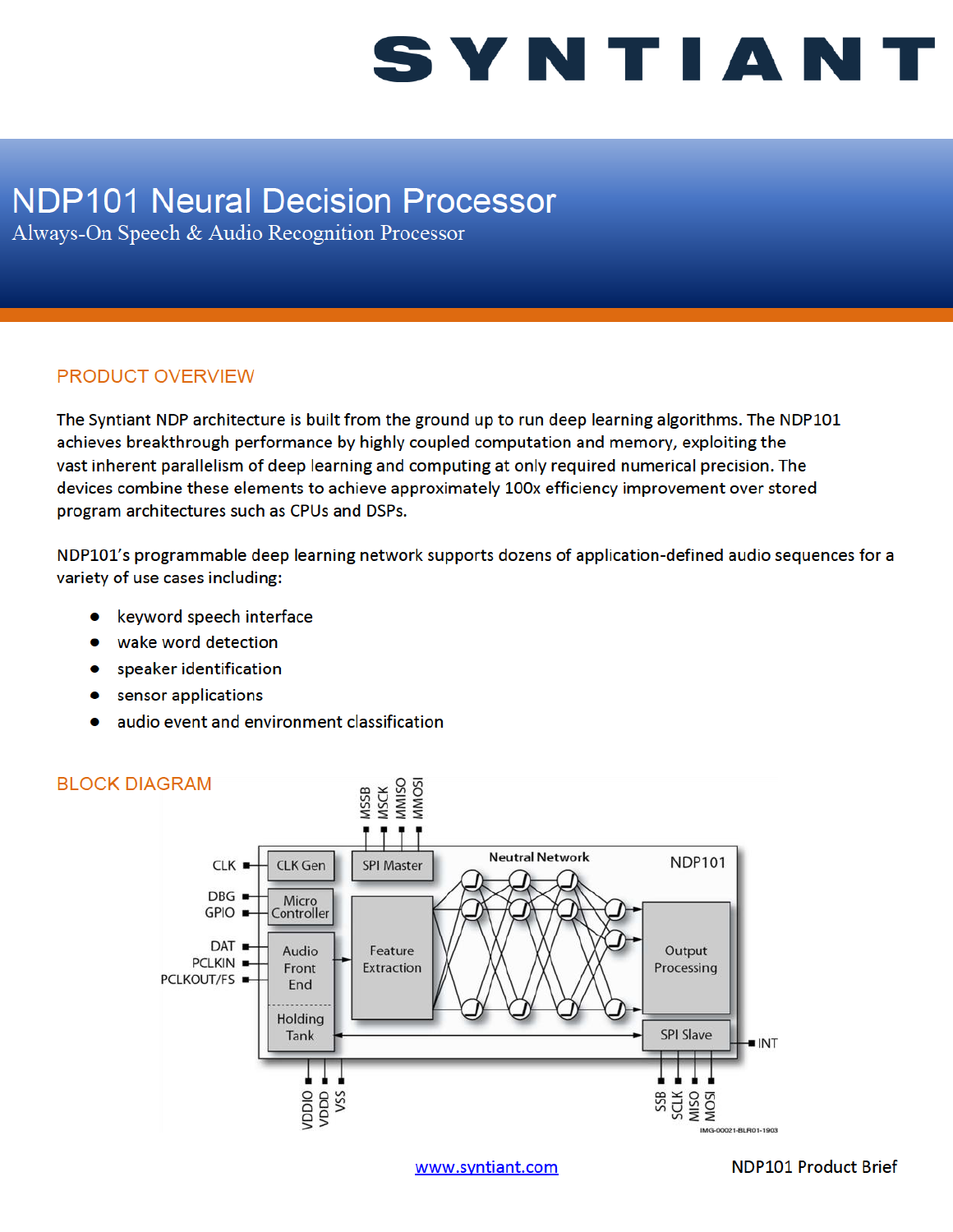## SYNTIAN1

### **NDP101 Neural Decision Processor**

Always-On Speech & Audio Recognition Processor

#### PRODUCT OVERVIEW

The Syntiant NDP architecture is built from the ground up to run deep learning algorithms. The NDP101 achieves breakthrough performance by highly coupled computation and memory, exploiting the vast inherent parallelism of deep learning and computing at only required numerical precision. The devices combine these elements to achieve approximately 100x efficiency improvement over stored program architectures such as CPUs and DSPs.

NDP101's programmable deep learning network supports dozens of application-defined audio sequences for a variety of use cases including:

- keyword speech interface
- wake word detection
- speaker identification
- sensor applications
- audio event and environment classification